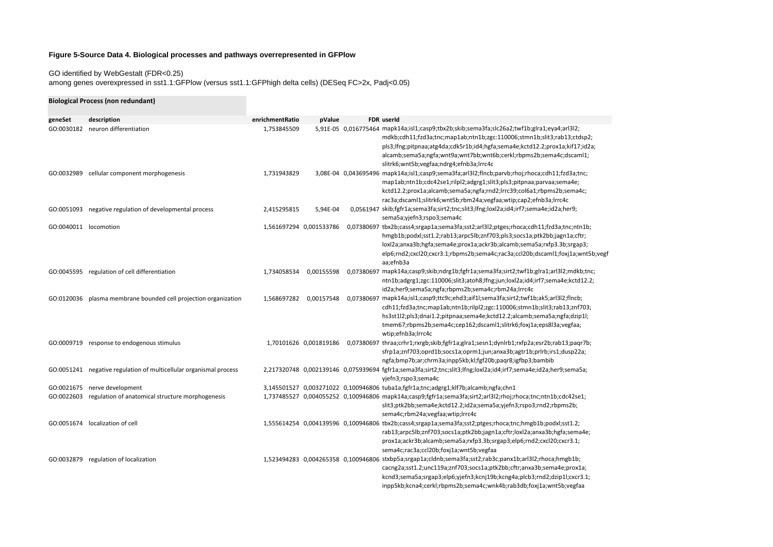## **Figure 5-Source Data 4. Biological processes and pathways overrepresented in GFPlow**

## GO identified by WebGestalt (FDR<0.25)

among genes overexpressed in sst1.1:GFPlow (versus sst1.1:GFPhigh delta cells) (DESeq FC>2x, Padj<0.05)

|                       | <b>Biological Process (non redundant)</b>                          |                 |                         |                                                                                                                                                                                                                                                                                                                                                                           |
|-----------------------|--------------------------------------------------------------------|-----------------|-------------------------|---------------------------------------------------------------------------------------------------------------------------------------------------------------------------------------------------------------------------------------------------------------------------------------------------------------------------------------------------------------------------|
| geneSet               | description                                                        | enrichmentRatio | pValue                  | FDR userId                                                                                                                                                                                                                                                                                                                                                                |
| GO:0030182            | neuron differentiation                                             | 1,753845509     |                         | 5,91E-05 0,016775464 mapk14a;isl1;casp9;tbx2b;skib;sema3fa;slc26a2;twf1b;glra1;eya4;arl3l2;<br>mdkb;cdh11;fzd3a;tnc;map1ab;ntn1b;zgc:110006;stmn1b;slit3;rab13;ctdsp2;<br>pls3;lfng;pitpnaa;atg4da;cdk5r1b;id4;hgfa;sema4e;kctd12.2;prox1a;kif17;id2a;<br>alcamb;sema5a;ngfa;wnt9a;wnt7bb;wnt6b;cerkl;rbpms2b;sema4c;dscaml1;<br>slitrk6;wnt5b;vegfaa;ndrg4;efnb3a;lrrc4c |
|                       | GO:0032989 cellular component morphogenesis                        | 1,731943829     |                         | 3,08E-04 0,043695496 mapk14a;isl1;casp9;sema3fa;arl3l2;flncb;parvb;rhoj;rhoca;cdh11;fzd3a;tnc;<br>map1ab;ntn1b;cdc42se1;rilpl2;adgrg1;slit3;pls3;pitpnaa;parvaa;sema4e;<br>kctd12.2;prox1a;alcamb;sema5a;ngfa;rnd2;lrrc39;col6a1;rbpms2b;sema4c;<br>rac3a;dscaml1;slitrk6;wnt5b;rbm24a;vegfaa;wtip;cap2;efnb3a;lrrc4c                                                     |
|                       | GO:0051093 negative regulation of developmental process            | 2,415295815     | 5.94E-04                | 0,0561947 skib;fgfr1a;sema3fa;sirt2;tnc;slit3;lfng;loxl2a;id4;irf7;sema4e;id2a;her9;<br>sema5a;yjefn3;rspo3;sema4c                                                                                                                                                                                                                                                        |
| GO:0040011 locomotion |                                                                    |                 | 1,561697294 0,001533786 | 0,07380697 tbx2b;cass4;srgap1a;sema3fa;sst2;arl3l2;ptges;rhoca;cdh11;fzd3a;tnc;ntn1b;<br>hmgb1b;podxl;sst1.2;rab13;arpc5lb;znf703;pls3;socs1a;ptk2bb;jagn1a;cftr;<br>loxl2a;anxa3b;hgfa;sema4e;prox1a;ackr3b;alcamb;sema5a;rxfp3.3b;srgap3;<br>elp6;rnd2;cxcl20;cxcr3.1;rbpms2b;sema4c;rac3a;ccl20b;dscaml1;foxj1a;wnt5b;vegf<br>aa;efnb3a                                |
|                       | GO:0045595 regulation of cell differentiation                      | 1,734058534     | 0,00155598              | 0,07380697 mapk14a;casp9;skib;ndrg1b;fgfr1a;sema3fa;sirt2;twf1b;glra1;arl3l2;mdkb;tnc;<br>ntn1b;adgrg1;zgc:110006;slit3;atoh8;lfng;jun;loxl2a;id4;irf7;sema4e;kctd12.2;<br>id2a;her9;sema5a;ngfa;rbpms2b;sema4c;rbm24a;lrrc4c                                                                                                                                             |
| GO:0120036            | plasma membrane bounded cell projection organization               | 1,568697282     | 0,00157548              | 0,07380697 mapk14a;isl1;casp9;ttc9c;ehd3;aif1l;sema3fa;sirt2;twf1b;ak5;arl3l2;flncb;<br>cdh11;fzd3a;tnc;map1ab;ntn1b;rilpl2;zgc:110006;stmn1b;slit3;rab13;znf703;<br>hs3st1l2;pls3;dnai1.2;pitpnaa;sema4e;kctd12.2;alcamb;sema5a;ngfa;dzip1l;<br>tmem67;rbpms2b;sema4c;cep162;dscaml1;slitrk6;foxj1a;eps8l3a;vegfaa;<br>wtip;efnb3a;Irrc4c                                |
|                       | GO:0009719 response to endogenous stimulus                         |                 |                         | 1,70101626 0,001819186 0,07380697 thraa;crhr1;rxrgb;skib;fgfr1a;glra1;sesn1;dynlrb1;rxfp2a;esr2b;rab13;paqr7b;<br>sfrp1a;znf703;oprd1b;socs1a;oprm1;jun;anxa3b;agtr1b;prlrb;irs1;dusp22a;<br>ngfa;bmp7b;ar;chrm3a;inpp5kb;kl;fgf20b;paqr8;igfbp3;bambib                                                                                                                   |
|                       | GO:0051241 negative regulation of multicellular organismal process |                 |                         | 2,217320748 0,002139146 0,075939694 fgfr1a;sema3fa;sirt2;tnc;slit3;lfng;loxl2a;id4;irf7;sema4e;id2a;her9;sema5a;<br>yjefn3;rspo3;sema4c                                                                                                                                                                                                                                   |
|                       | GO:0021675 nerve development                                       |                 |                         | 3,145501527 0,003271022 0,100946806 tuba1a;fgfr1a;tnc;adgrg1;klf7b;alcamb;ngfa;chn1                                                                                                                                                                                                                                                                                       |
|                       | GO:0022603 regulation of anatomical structure morphogenesis        |                 |                         | 1,737485527 0,004055252 0,100946806 mapk14a;casp9;fgfr1a;sema3fa;sirt2;arl3l2;rhoj;rhoca;tnc;ntn1b;cdc42se1;<br>slit3;ptk2bb;sema4e;kctd12.2;id2a;sema5a;yjefn3;rspo3;rnd2;rbpms2b;<br>sema4c;rbm24a;vegfaa;wtip;lrrc4c                                                                                                                                                   |
|                       | GO:0051674 localization of cell                                    |                 |                         | 1,555614254 0,004139596 0,100946806 tbx2b;cass4;srgap1a;sema3fa;sst2;ptges;rhoca;tnc;hmgb1b;podxl;sst1.2;<br>rab13;arpc5lb;znf703;socs1a;ptk2bb;jagn1a;cftr;loxl2a;anxa3b;hgfa;sema4e;<br>prox1a;ackr3b;alcamb;sema5a;rxfp3.3b;srgap3;elp6;rnd2;cxcl20;cxcr3.1;<br>sema4c;rac3a;ccl20b;foxj1a;wnt5b;vegfaa                                                                |
|                       | GO:0032879 regulation of localization                              |                 |                         | 1,523494283 0,004265358 0,100946806 stxbp5a;srgap1a;cldnb;sema3fa;sst2;rab3c;panx1b;arl3l2;rhoca;hmgb1b;<br>cacng2a;sst1.2;unc119a;znf703;socs1a;ptk2bb;cftr;anxa3b;sema4e;prox1a;<br>kcnd3;sema5a;srgap3;elp6;yjefn3;kcnj19b;kcng4a;plcb3;rnd2;dzip1l;cxcr3.1;<br>inpp5kb;kcna4;cerkl;rbpms2b;sema4c;wnk4b;rab3db;foxj1a;wnt5b;vegfaa                                    |